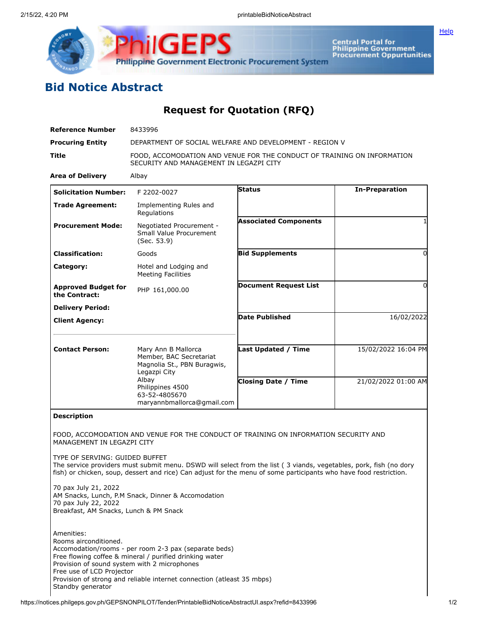

**Central Portal for<br>Philippine Government<br>Procurement Oppurtunities** 

**[Help](javascript:void(window.open()** 

## **Bid Notice Abstract**

## **Request for Quotation (RFQ)**

| <b>Reference Number</b>                                                                                          | 8433996                                                                                                                                                                                                                                |                              |                       |
|------------------------------------------------------------------------------------------------------------------|----------------------------------------------------------------------------------------------------------------------------------------------------------------------------------------------------------------------------------------|------------------------------|-----------------------|
| <b>Procuring Entity</b>                                                                                          | DEPARTMENT OF SOCIAL WELFARE AND DEVELOPMENT - REGION V                                                                                                                                                                                |                              |                       |
| Title                                                                                                            | FOOD, ACCOMODATION AND VENUE FOR THE CONDUCT OF TRAINING ON INFORMATION<br>SECURITY AND MANAGEMENT IN LEGAZPI CITY                                                                                                                     |                              |                       |
| <b>Area of Delivery</b>                                                                                          | Albay                                                                                                                                                                                                                                  |                              |                       |
| <b>Solicitation Number:</b>                                                                                      | F 2202-0027                                                                                                                                                                                                                            | <b>Status</b>                | <b>In-Preparation</b> |
| <b>Trade Agreement:</b>                                                                                          | Implementing Rules and<br>Regulations                                                                                                                                                                                                  |                              |                       |
| <b>Procurement Mode:</b>                                                                                         | Negotiated Procurement -<br>Small Value Procurement<br>(Sec. 53.9)                                                                                                                                                                     | <b>Associated Components</b> |                       |
| <b>Classification:</b>                                                                                           | Goods                                                                                                                                                                                                                                  | <b>Bid Supplements</b>       | $\Omega$              |
| Category:                                                                                                        | Hotel and Lodging and<br><b>Meeting Facilities</b>                                                                                                                                                                                     |                              |                       |
| <b>Approved Budget for</b><br>the Contract:                                                                      | PHP 161,000.00                                                                                                                                                                                                                         | <b>Document Request List</b> | 0                     |
| <b>Delivery Period:</b>                                                                                          |                                                                                                                                                                                                                                        |                              |                       |
| <b>Client Agency:</b>                                                                                            |                                                                                                                                                                                                                                        | <b>Date Published</b>        | 16/02/2022            |
| <b>Contact Person:</b>                                                                                           | Mary Ann B Mallorca<br>Member, BAC Secretariat<br>Magnolia St., PBN Buragwis,<br>Legazpi City<br>Albay<br>Philippines 4500<br>63-52-4805670<br>maryannbmallorca@gmail.com                                                              | <b>Last Updated / Time</b>   | 15/02/2022 16:04 PM   |
|                                                                                                                  |                                                                                                                                                                                                                                        | <b>Closing Date / Time</b>   | 21/02/2022 01:00 AM   |
| <b>Description</b>                                                                                               |                                                                                                                                                                                                                                        |                              |                       |
| MANAGEMENT IN LEGAZPI CITY                                                                                       | FOOD, ACCOMODATION AND VENUE FOR THE CONDUCT OF TRAINING ON INFORMATION SECURITY AND                                                                                                                                                   |                              |                       |
| TYPE OF SERVING: GUIDED BUFFET                                                                                   | The service providers must submit menu. DSWD will select from the list (3 viands, vegetables, pork, fish (no dory<br>fish) or chicken, soup, dessert and rice) Can adjust for the menu of some participants who have food restriction. |                              |                       |
| 70 pax July 21, 2022<br>70 pax July 22, 2022<br>Breakfast, AM Snacks, Lunch & PM Snack                           | AM Snacks, Lunch, P.M Snack, Dinner & Accomodation                                                                                                                                                                                     |                              |                       |
| Amenities:<br>Rooms airconditioned.<br>Provision of sound system with 2 microphones<br>Free use of LCD Projector | Accomodation/rooms - per room 2-3 pax (separate beds)<br>Free flowing coffee & mineral / purified drinking water<br>Provision of strong and reliable internet connection (atleast 35 mbps)                                             |                              |                       |

Standby generator